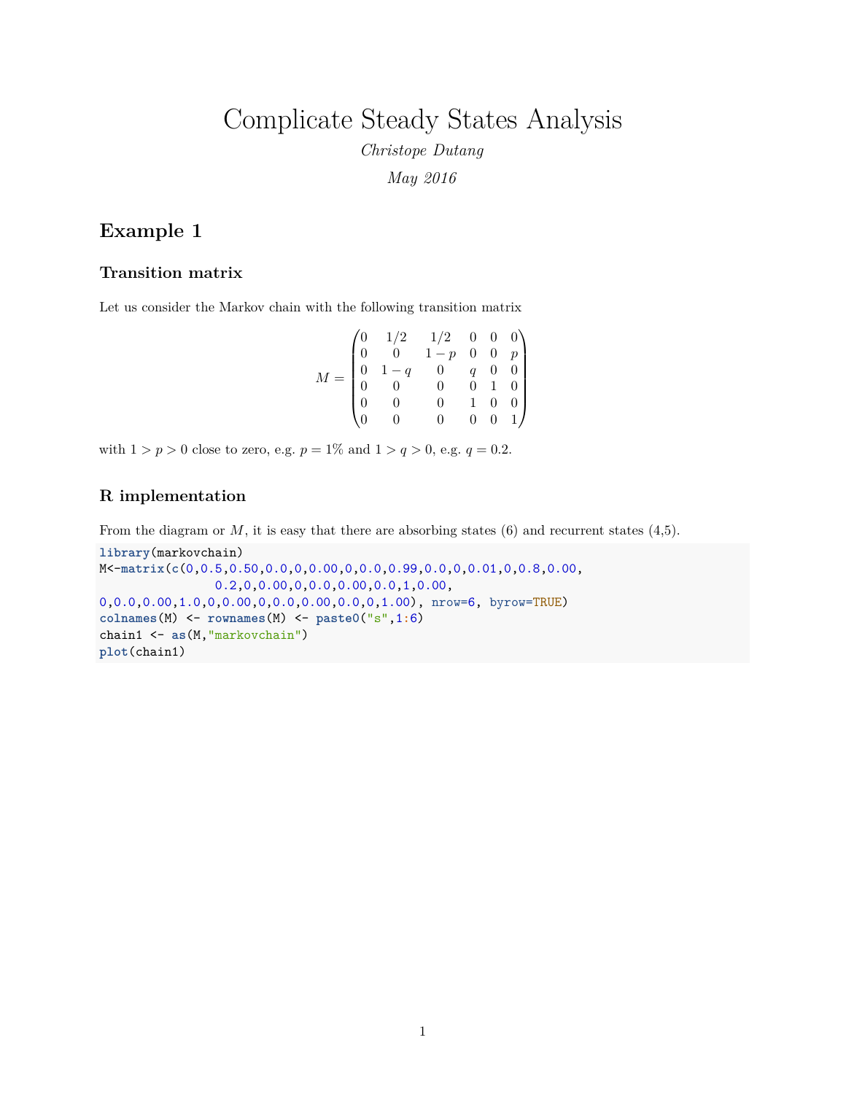Complicate Steady States Analysis

*Christope Dutang May 2016*

## **Example 1**

#### **Transition matrix**

Let us consider the Markov chain with the following transition matrix

| $M =$ |                                                | $\begin{pmatrix} 1/2 & 1/2 & 0 & 0 & 0 \\ 0 & 1-p & 0 & 0 & p \end{pmatrix}$ |                |             |
|-------|------------------------------------------------|------------------------------------------------------------------------------|----------------|-------------|
|       | $1-q$                                          | $\begin{matrix}0\\0\end{matrix}$                                             | $\overline{a}$ | $0 \quad 0$ |
|       | $\begin{smallmatrix}1&&1\\&0\end{smallmatrix}$ |                                                                              | $\overline{0}$ |             |
|       | $\theta$                                       |                                                                              |                |             |
|       | $\Omega$                                       |                                                                              | 0              | $0\quad1$   |

with  $1 > p > 0$  close to zero, e.g.  $p = 1\%$  and  $1 > q > 0$ , e.g.  $q = 0.2$ .

#### **R implementation**

From the diagram or *M*, it is easy that there are absorbing states (6) and recurrent states (4,5).

```
library(markovchain)
M<-matrix(c(0,0.5,0.50,0.0,0,0.00,0,0.0,0.99,0.0,0,0.01,0,0.8,0.00,
                0.2,0,0.00,0,0.0,0.00,0.0,1,0.00,
0,0.0,0.00,1.0,0,0.00,0,0.0,0.00,0.0,0,1.00), nrow=6, byrow=TRUE)
colnames(M) <- rownames(M) <- paste0("s",1:6)
chain1 <- as(M,"markovchain")
plot(chain1)
```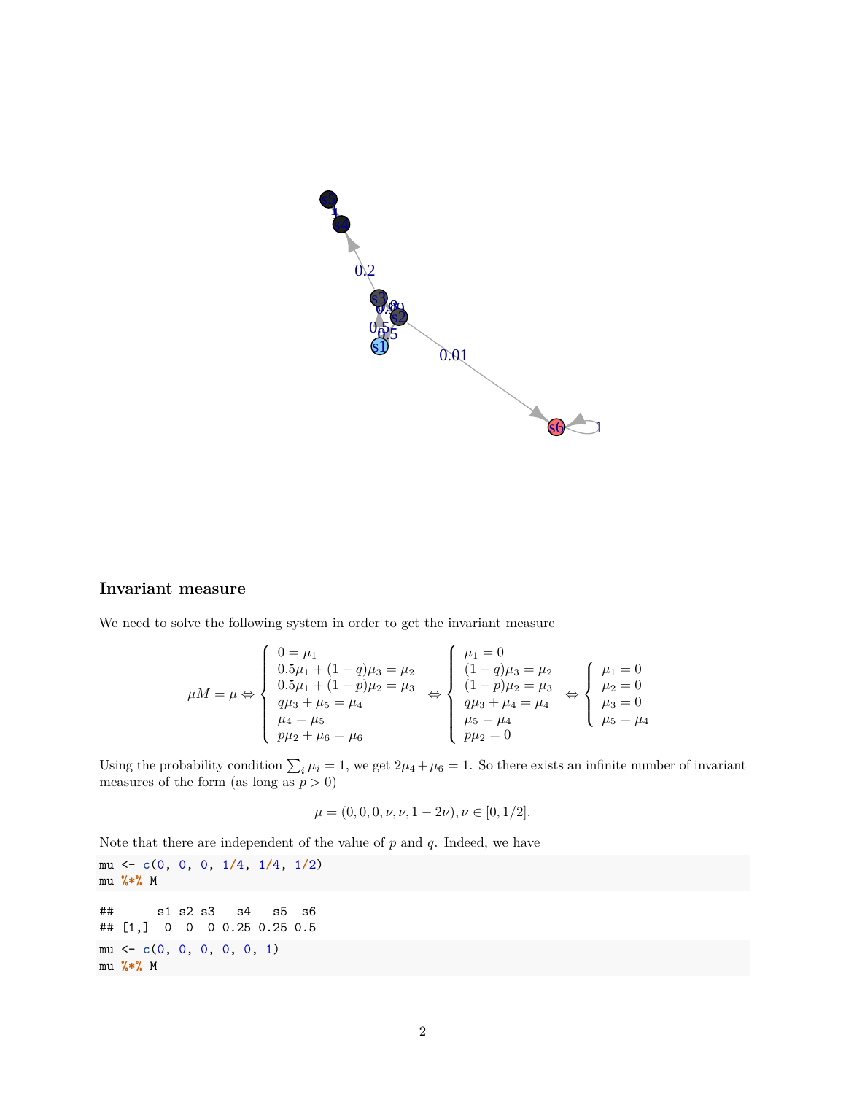

#### **Invariant measure**

We need to solve the following system in order to get the invariant measure

$$
\mu M = \mu \Leftrightarrow \begin{cases}\n0 = \mu_1 \\
0.5\mu_1 + (1 - q)\mu_3 = \mu_2 \\
0.5\mu_1 + (1 - p)\mu_2 = \mu_3 \\
q\mu_3 + \mu_5 = \mu_4 \\
\mu_4 = \mu_5 \\
p\mu_2 + \mu_6 = \mu_6\n\end{cases} \Leftrightarrow \begin{cases}\n\mu_1 = 0 \\
(1 - q)\mu_3 = \mu_2 \\
(1 - p)\mu_2 = \mu_3 \\
q\mu_3 + \mu_4 = \mu_4 \\
\mu_5 = \mu_4\n\end{cases} \Leftrightarrow \begin{cases}\n\mu_1 = 0 \\
\mu_2 = 0 \\
\mu_3 = 0 \\
\mu_5 = \mu_4\n\end{cases}
$$

Using the probability condition  $\sum_i \mu_i = 1$ , we get  $2\mu_4 + \mu_6 = 1$ . So there exists an infinite number of invariant measures of the form (as long as  $p > 0$ )

$$
\mu = (0, 0, 0, \nu, \nu, 1 - 2\nu), \nu \in [0, 1/2].
$$

Note that there are independent of the value of *p* and *q*. Indeed, we have

mu <- **c**(0, 0, 0, 1**/**4, 1**/**4, 1**/**2) mu **%\*%** M ## s1 s2 s3 s4 s5 s6 ## [1,] 0 0 0 0.25 0.25 0.5 mu <- **c**(0, 0, 0, 0, 0, 1) mu **%\*%** M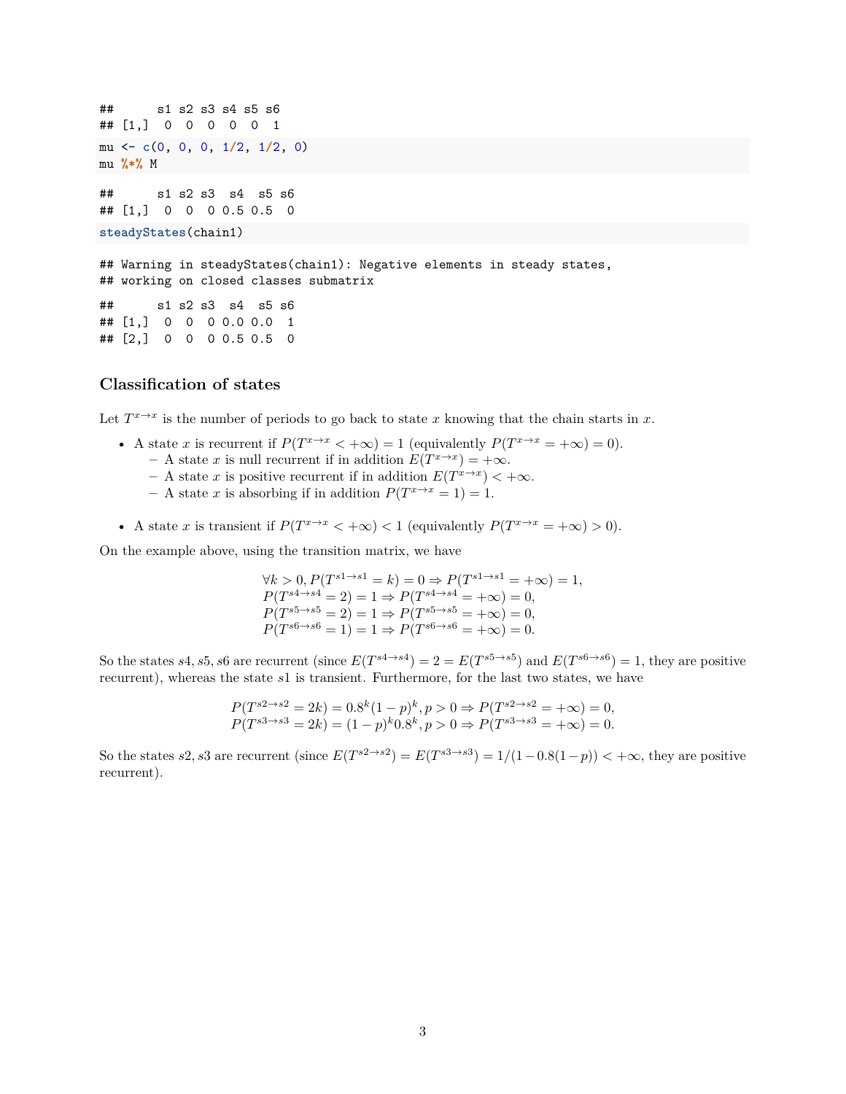## s1 s2 s3 s4 s5 s6 ## [1,] 0 0 0 0 0 1 mu <- **c**(0, 0, 0, 1**/**2, 1**/**2, 0) mu **%\*%** M ## s1 s2 s3 s4 s5 s6 ## [1,] 0 0 0 0.5 0.5 0 **steadyStates**(chain1) ## Warning in steadyStates(chain1): Negative elements in steady states, ## working on closed classes submatrix ## s1 s2 s3 s4 s5 s6 ## [1,] 0 0 0 0.0 0.0 1 ## [2,] 0 0 0 0.5 0.5 0

#### **Classification of states**

Let  $T^{x \to x}$  is the number of periods to go back to state *x* knowing that the chain starts in *x*.

- A state *x* is recurrent if  $P(T^{x\to x} < +\infty) = 1$  (equivalently  $P(T^{x\to x} = +\infty) = 0$ ).
	- $-$  A state *x* is null recurrent if in addition  $E(T^{x\to x}) = +\infty$ .
	- $-$  A state *x* is positive recurrent if in addition  $E(T^{x \to x}) < +\infty$ .
	- **–** A state *x* is absorbing if in addition  $P(T^{x\to x} = 1) = 1$ .
- A state *x* is transient if  $P(T^{x\to x} < +\infty) < 1$  (equivalently  $P(T^{x\to x} = +\infty) > 0$ ).

On the example above, using the transition matrix, we have

 $\forall k > 0, P(T^{s1 \to s1} = k) = 0 \Rightarrow P(T^{s1 \to s1} = +\infty) = 1,$  $P(T^{s4 \to s4}) = 2 = 1 \Rightarrow P(T^{s4 \to s4}) = +\infty = 0,$  $P(T^{s5 \to s5} = 2) = 1 \Rightarrow P(T^{s5 \to s5} = +\infty) = 0,$  $P(T^{s6 \to s6} = 1) = 1 \Rightarrow P(T^{s6 \to s6} = +\infty) = 0.$ 

So the states *s*4, *s*5, *s*6 are recurrent (since  $E(T^{s4 \to s4}) = 2 = E(T^{s5 \to s5})$  and  $E(T^{s6 \to s6}) = 1$ , they are positive recurrent), whereas the state *s*1 is transient. Furthermore, for the last two states, we have

$$
P(T^{s2 \to s2} = 2k) = 0.8^k (1 - p)^k, p > 0 \Rightarrow P(T^{s2 \to s2} = +\infty) = 0,
$$
  
 
$$
P(T^{s3 \to s3} = 2k) = (1 - p)^k 0.8^k, p > 0 \Rightarrow P(T^{s3 \to s3} = +\infty) = 0.
$$

So the states *s*2, *s*3 are recurrent (since  $E(T^{s2 \to s2}) = E(T^{s3 \to s3}) = 1/(1-0.8(1-p)) < +\infty$ , they are positive recurrent).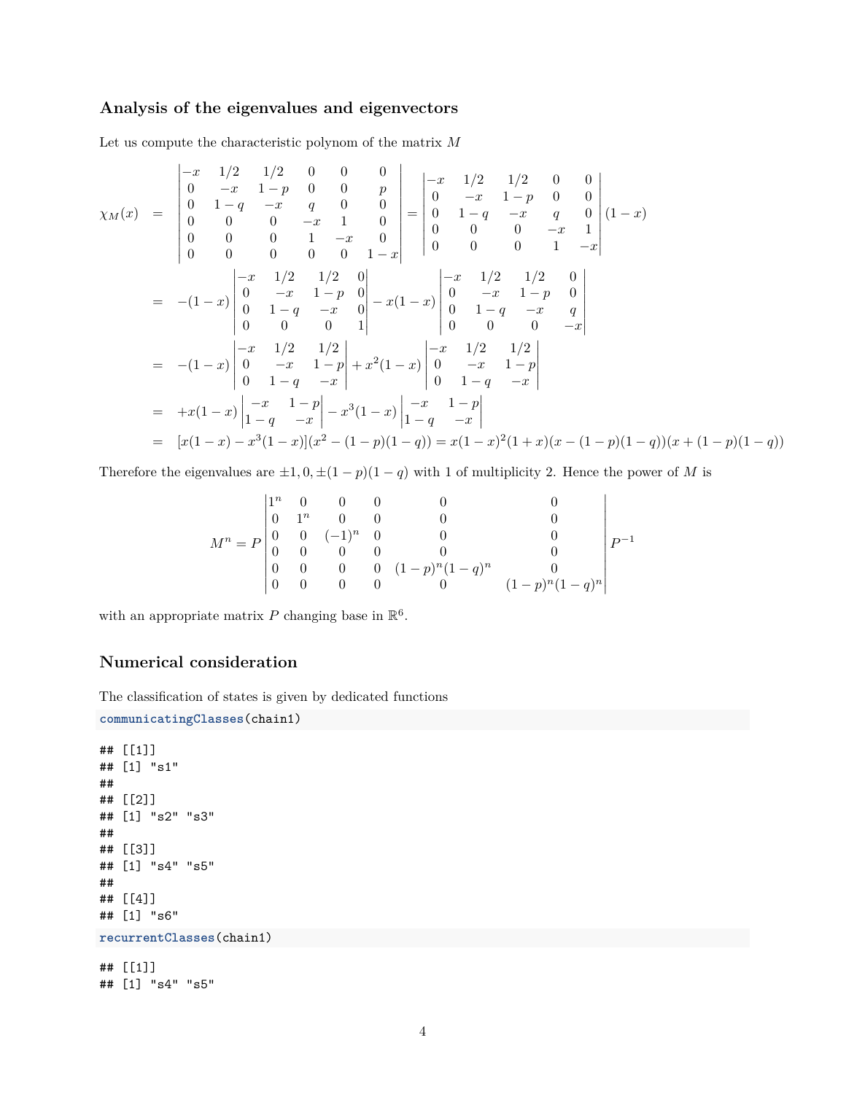### **Analysis of the eigenvalues and eigenvectors**

Let us compute the characteristic polynom of the matrix *M*

Ŷ.

$$
\chi_M(x) = \begin{vmatrix}\n-x & 1/2 & 1/2 & 0 & 0 & 0 \\
0 & -x & 1-p & 0 & 0 & p \\
0 & 1-q & -x & q & 0 & 0 \\
0 & 0 & 0 & -x & 1 & 0 \\
0 & 0 & 0 & 1 & -x & 0 \\
0 & 0 & 0 & 0 & 1-x & 0\n\end{vmatrix} = \begin{vmatrix}\n-x & 1/2 & 1/2 & 0 & 0 \\
0 & -x & 1-p & 0 & 0 \\
0 & 1-q & -x & q & 0 \\
0 & 0 & 0 & -x & 1\n\end{vmatrix} (1-x)
$$
  
\n
$$
= -(1-x) \begin{vmatrix}\n-x & 1/2 & 1/2 & 0 \\
0 & -x & 1-p & 0 \\
0 & 1-q & -x & 0 \\
0 & 0 & 0 & 1\n\end{vmatrix} - x(1-x) \begin{vmatrix}\n-x & 1/2 & 1/2 & 0 \\
0 & -x & 1-p & 0 \\
0 & 1-q & -x & q \\
0 & 0 & 0 & -x\n\end{vmatrix}
$$
  
\n
$$
= -(1-x) \begin{vmatrix}\n-x & 1/2 & 1/2 \\
0 & -x & 1-p \\
0 & 1-q & -x\n\end{vmatrix} + x^2(1-x) \begin{vmatrix}\n-x & 1/2 & 1/2 \\
0 & -x & 1-p \\
0 & 1-q & -x\n\end{vmatrix}
$$
  
\n
$$
= +x(1-x) \begin{vmatrix}\n-x & 1-p \\
1-q & -x\n\end{vmatrix} - x^3(1-x) \begin{vmatrix}\n-x & 1-p \\
1-q & -x\n\end{vmatrix}
$$
  
\n
$$
= [x(1-x) - x^3(1-x)](x^2 - (1-p)(1-q)) = x(1-x)^2(1+x)(x - (1-p)(1-q))(x + (1-p)(1-q))
$$

Therefore the eigenvalues are  $\pm 1, 0, \pm (1 - p)(1 - q)$  with 1 of multiplicity 2. Hence the power of *M* is

$$
M^{n} = P \begin{vmatrix} 1^{n} & 0 & 0 & 0 & 0 & 0 \\ 0 & 1^{n} & 0 & 0 & 0 & 0 \\ 0 & 0 & (-1)^{n} & 0 & 0 & 0 \\ 0 & 0 & 0 & 0 & 0 & 0 \\ 0 & 0 & 0 & 0 & (1-p)^{n}(1-q)^{n} & 0 \\ 0 & 0 & 0 & 0 & 0 & (1-p)^{n}(1-q)^{n} \end{vmatrix} P^{-1}
$$

with an appropriate matrix P changing base in  $\mathbb{R}^6$ .

### **Numerical consideration**

The classification of states is given by dedicated functions

```
communicatingClasses(chain1)
```

```
## [[1]]
## [1] "s1"
##
## [[2]]
## [1] "s2" "s3"
##
## [[3]]
## [1] "s4" "s5"
##
## [[4]]
## [1] "s6"
recurrentClasses(chain1)
## [[1]]
## [1] "s4" "s5"
```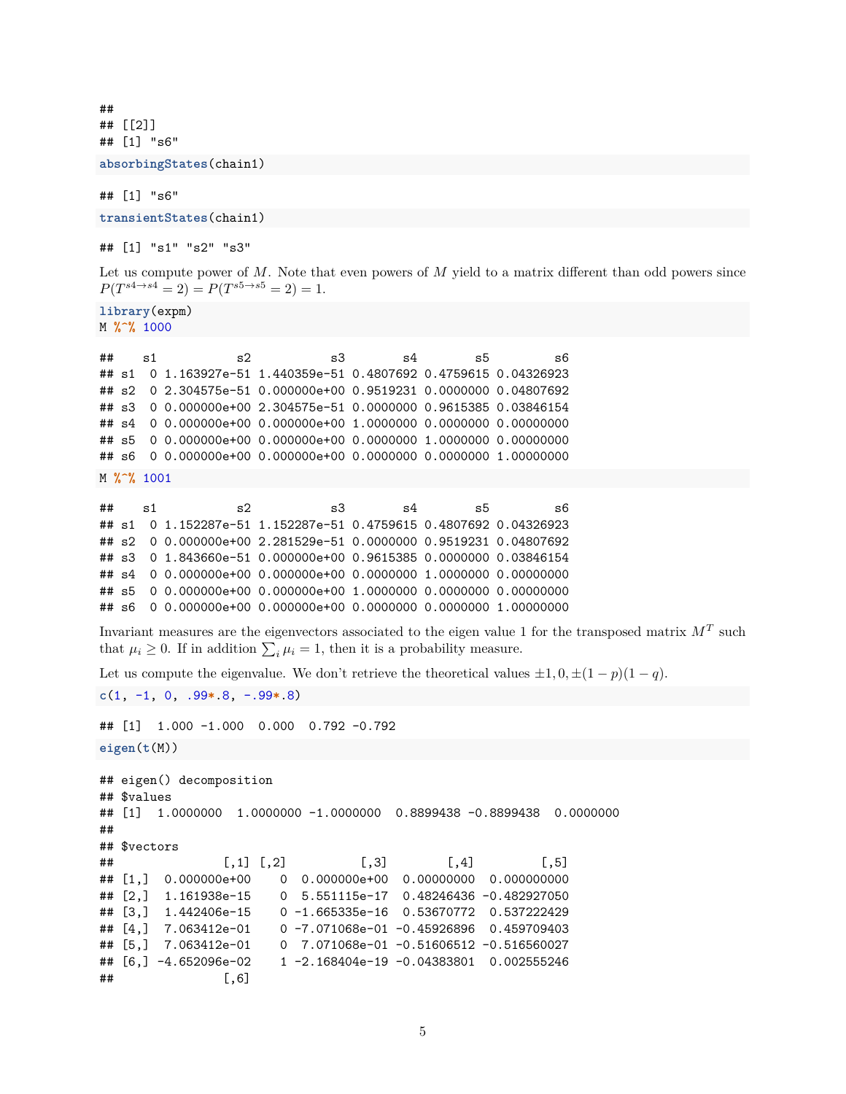## ## [[2]] ## [1] "s6"

**absorbingStates**(chain1)

## [1] "s6"

**transientStates**(chain1)

## [1] "s1" "s2" "s3"

Let us compute power of M. Note that even powers of M yield to a matrix different than odd powers since  $P(T^{s4 \to s4} = 2) = P(T^{s5 \to s5} = 2) = 1.$ 

**library**(expm) M **%^%** 1000

| ## | ี่ ร1 | 52 | 5.3                                                               | s4 | s5 | 56 |
|----|-------|----|-------------------------------------------------------------------|----|----|----|
|    |       |    | ## s1 0 1.163927e-51 1.440359e-51 0.4807692 0.4759615 0.04326923  |    |    |    |
|    |       |    | ## s2 0 2.304575e-51 0.000000e+00 0.9519231 0.0000000 0.04807692  |    |    |    |
|    |       |    | ## s3 0 0.000000e+00 2.304575e-51 0.0000000 0.9615385 0.03846154  |    |    |    |
|    |       |    | ## s4 0 0.000000e+00 0.000000e+00 1.0000000 0.0000000 0.00000000  |    |    |    |
|    |       |    | ## \$5 0 0.000000e+00 0.000000e+00 0.0000000 1.0000000 0.00000000 |    |    |    |
|    |       |    | ## s6 0 0.000000e+00 0.000000e+00 0.0000000 0.0000000 1.00000000  |    |    |    |
|    |       |    |                                                                   |    |    |    |

M **%^%** 1001

```
## s1 s2 s3 s4 s5 s6
## s1 0 1.152287e-51 1.152287e-51 0.4759615 0.4807692 0.04326923
## s2 0 0.000000e+00 2.281529e-51 0.0000000 0.9519231 0.04807692
## s3 0 1.843660e-51 0.000000e+00 0.9615385 0.0000000 0.03846154
## s4 0 0.000000e+00 0.000000e+00 0.0000000 1.0000000 0.00000000
## s5 0 0.000000e+00 0.000000e+00 1.0000000 0.0000000 0.00000000
## s6 0 0.000000e+00 0.000000e+00 0.0000000 0.0000000 1.00000000
```
Invariant measures are the eigenvectors associated to the eigen value 1 for the transposed matrix  $M<sup>T</sup>$  such that  $\mu_i \geq 0$ . If in addition  $\sum_i \mu_i = 1$ , then it is a probability measure.

Let us compute the eigenvalue. We don't retrieve the theoretical values  $\pm 1, 0, \pm (1 - p)(1 - q)$ .

**c**(1, -1, 0, .99**\***.8, -.99**\***.8)

## [1] 1.000 -1.000 0.000 0.792 -0.792 **eigen**(**t**(M))

```
## eigen() decomposition
## $values
## [1] 1.0000000 1.0000000 -1.0000000 0.8899438 -0.8899438 0.0000000
##
## $vectors
## [,1] [,2] [,3] [,4] [,5]
## [1,] 0.000000e+00 0 0.000000e+00 0.00000000 0.000000000
## [2,] 1.161938e-15 0 5.551115e-17 0.48246436 -0.482927050
## [3,] 1.442406e-15 0 -1.665335e-16 0.53670772 0.537222429
## [4,] 7.063412e-01 0 -7.071068e-01 -0.45926896 0.459709403
## [5,] 7.063412e-01 0 7.071068e-01 -0.51606512 -0.516560027
## [6,] -4.652096e-02 1 -2.168404e-19 -0.04383801 0.002555246
## [,6]
```